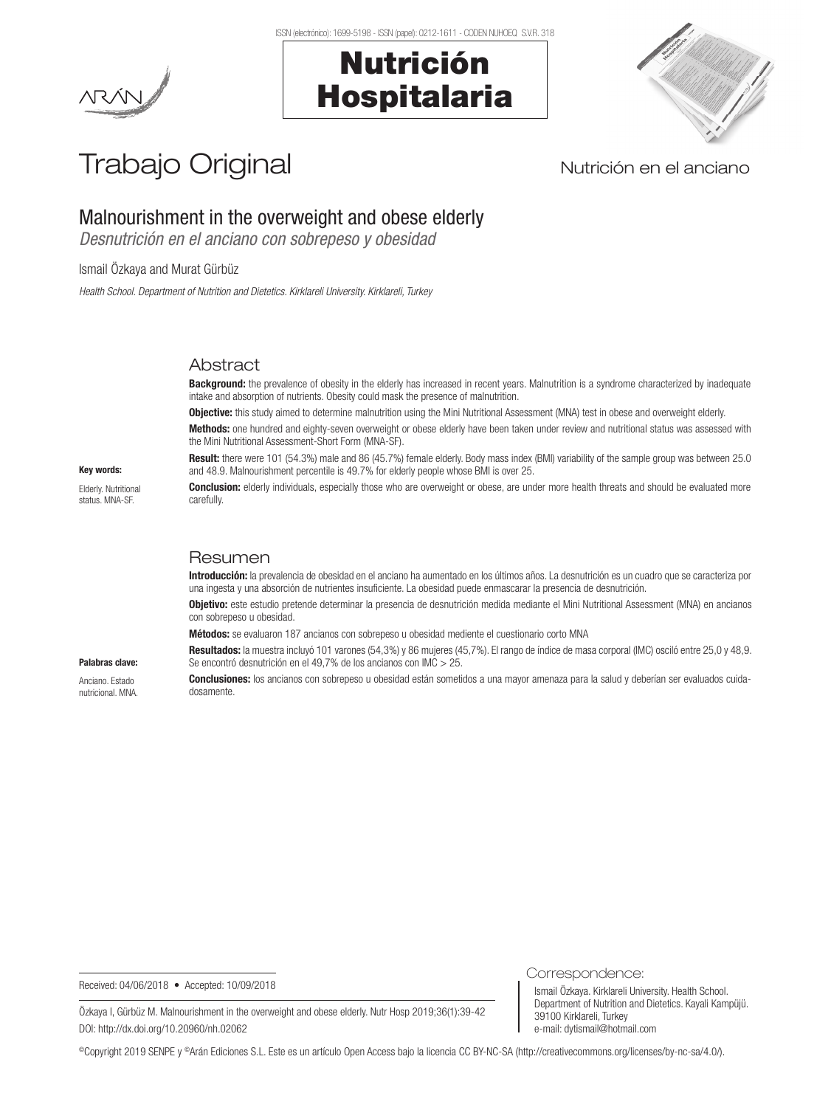# Nutrición Hospitalaria



# Trabajo Original Nutrición en el anciano

# Malnourishment in the overweight and obese elderly

*Desnutrición en el anciano con sobrepeso y obesidad*

# Ismail Özkaya and Murat Gürbüz

*Health School. Department of Nutrition and Dietetics. Kirklareli University. Kirklareli, Turkey*

# **Abstract**

Background: the prevalence of obesity in the elderly has increased in recent years. Malnutrition is a syndrome characterized by inadequate intake and absorption of nutrients. Obesity could mask the presence of malnutrition.

**Objective:** this study aimed to determine malnutrition using the Mini Nutritional Assessment (MNA) test in obese and overweight elderly.

Methods: one hundred and eighty-seven overweight or obese elderly have been taken under review and nutritional status was assessed with the Mini Nutritional Assessment-Short Form (MNA-SF).

Result: there were 101 (54.3%) male and 86 (45.7%) female elderly. Body mass index (BMI) variability of the sample group was between 25.0 and 48.9. Malnourishment percentile is 49.7% for elderly people whose BMI is over 25.

**Conclusion:** elderly individuals, especially those who are overweight or obese, are under more health threats and should be evaluated more carefully.

# Key words:

Elderly. Nutritional status. MNA-SF

Palabras clave: Anciano. Estado nutricional. MNA.

# Resumen

Introducción: la prevalencia de obesidad en el anciano ha aumentado en los últimos años. La desnutrición es un cuadro que se caracteriza por una ingesta y una absorción de nutrientes insuficiente. La obesidad puede enmascarar la presencia de desnutrición.

Objetivo: este estudio pretende determinar la presencia de desnutrición medida mediante el Mini Nutritional Assessment (MNA) en ancianos con sobrepeso u obesidad.

Métodos: se evaluaron 187 ancianos con sobrepeso u obesidad mediente el cuestionario corto MNA

Resultados: la muestra incluyó 101 varones (54,3%) y 86 mujeres (45,7%). El rango de índice de masa corporal (IMC) osciló entre 25,0 y 48,9. Se encontró desnutrición en el 49,7% de los ancianos con IMC > 25.

Conclusiones: los ancianos con sobrepeso u obesidad están sometidos a una mayor amenaza para la salud y deberían ser evaluados cuidadosamente.

Received: 04/06/2018 • Accepted: 10/09/2018

Correspondence:

Ismail Özkaya. Kirklareli University. Health School. Department of Nutrition and Dietetics. Kayali Kampüjü. 39100 Kirklareli, Turkey e-mail: dytismail@hotmail.com

Özkaya I, Gürbüz M. Malnourishment in the overweight and obese elderly. Nutr Hosp 2019;36(1):39-42 DOI: http://dx.doi.org/10.20960/nh.02062

©Copyright 2019 SENPE y ©Arán Ediciones S.L. Este es un artículo Open Access bajo la licencia CC BY-NC-SA (http://creativecommons.org/licenses/by-nc-sa/4.0/).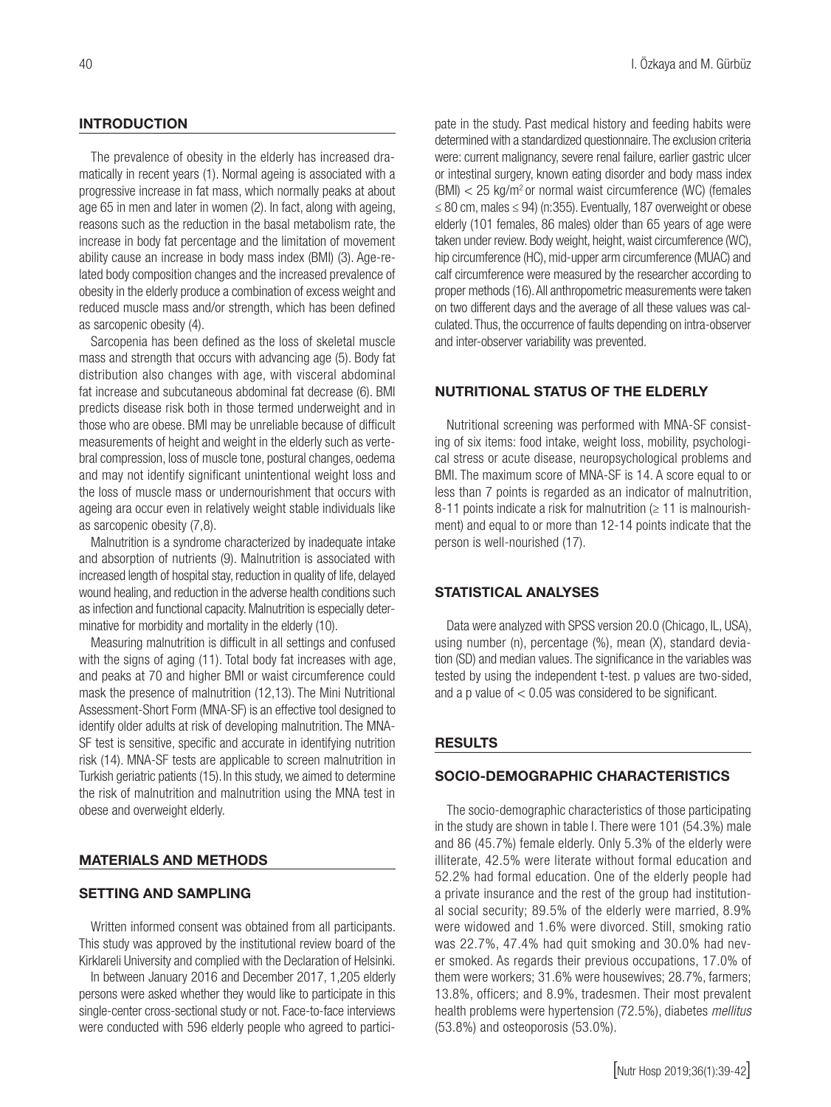# **INTRODUCTION**

The prevalence of obesity in the elderly has increased dramatically in recent years (1). Normal ageing is associated with a progressive increase in fat mass, which normally peaks at about age 65 in men and later in women (2). In fact, along with ageing, reasons such as the reduction in the basal metabolism rate, the increase in body fat percentage and the limitation of movement ability cause an increase in body mass index (BMI) (3). Age-related body composition changes and the increased prevalence of obesity in the elderly produce a combination of excess weight and reduced muscle mass and/or strength, which has been defined as sarcopenic obesity (4).

Sarcopenia has been defined as the loss of skeletal muscle mass and strength that occurs with advancing age (5). Body fat distribution also changes with age, with visceral abdominal fat increase and subcutaneous abdominal fat decrease (6). BMI predicts disease risk both in those termed underweight and in those who are obese. BMI may be unreliable because of difficult measurements of height and weight in the elderly such as vertebral compression, loss of muscle tone, postural changes, oedema and may not identify significant unintentional weight loss and the loss of muscle mass or undernourishment that occurs with ageing ara occur even in relatively weight stable individuals like as sarcopenic obesity (7,8).

Malnutrition is a syndrome characterized by inadequate intake and absorption of nutrients (9). Malnutrition is associated with increased length of hospital stay, reduction in quality of life, delayed wound healing, and reduction in the adverse health conditions such as infection and functional capacity. Malnutrition is especially determinative for morbidity and mortality in the elderly (10).

Measuring malnutrition is difficult in all settings and confused with the signs of aging (11). Total body fat increases with age, and peaks at 70 and higher BMI or waist circumference could mask the presence of malnutrition (12,13). The Mini Nutritional Assessment-Short Form (MNA-SF) is an effective tool designed to identify older adults at risk of developing malnutrition. The MNA-SF test is sensitive, specific and accurate in identifying nutrition risk (14). MNA-SF tests are applicable to screen malnutrition in Turkish geriatric patients (15). In this study, we aimed to determine the risk of malnutrition and malnutrition using the MNA test in obese and overweight elderly.

# MATERIALS AND METHODS

# SETTING AND SAMPLING

Written informed consent was obtained from all participants. This study was approved by the institutional review board of the Kirklareli University and complied with the Declaration of Helsinki.

In between January 2016 and December 2017, 1,205 elderly persons were asked whether they would like to participate in this single-center cross-sectional study or not. Face-to-face interviews were conducted with 596 elderly people who agreed to participate in the study. Past medical history and feeding habits were determined with a standardized questionnaire. The exclusion criteria were: current malignancy, severe renal failure, earlier gastric ulcer or intestinal surgery, known eating disorder and body mass index  $(BMI) < 25$  kg/m<sup>2</sup> or normal waist circumference (WC) (females ≤ 80 cm, males ≤ 94) (n:355). Eventually, 187 overweight or obese elderly (101 females, 86 males) older than 65 years of age were taken under review. Body weight, height, waist circumference (WC), hip circumference (HC), mid-upper arm circumference (MUAC) and calf circumference were measured by the researcher according to proper methods (16).All anthropometric measurements were taken on two different days and the average of all these values was calculated. Thus, the occurrence of faults depending on intra-observer and inter-observer variability was prevented.

# NUTRITIONAL STATUS OF THE ELDERLY

Nutritional screening was performed with MNA-SF consisting of six items: food intake, weight loss, mobility, psychological stress or acute disease, neuropsychological problems and BMI. The maximum score of MNA-SF is 14. A score equal to or less than 7 points is regarded as an indicator of malnutrition, 8-11 points indicate a risk for malnutrition  $( \geq 11$  is malnourishment) and equal to or more than 12-14 points indicate that the person is well-nourished (17).

# STATISTICAL ANALYSES

Data were analyzed with SPSS version 20.0 (Chicago, IL, USA), using number (n), percentage (%), mean (X), standard deviation (SD) and median values. The significance in the variables was tested by using the independent t-test. p values are two-sided, and a p value of  $< 0.05$  was considered to be significant.

### RESULTS

# SOCIO-DEMOGRAPHIC CHARACTERISTICS

The socio-demographic characteristics of those participating in the study are shown in table I. There were 101 (54.3%) male and 86 (45.7%) female elderly. Only 5.3% of the elderly were illiterate, 42.5% were literate without formal education and 52.2% had formal education. One of the elderly people had a private insurance and the rest of the group had institutional social security; 89.5% of the elderly were married, 8.9% were widowed and 1.6% were divorced. Still, smoking ratio was 22.7%, 47.4% had quit smoking and 30.0% had never smoked. As regards their previous occupations, 17.0% of them were workers; 31.6% were housewives; 28.7%, farmers; 13.8%, officers; and 8.9%, tradesmen. Their most prevalent health problems were hypertension (72.5%), diabetes *mellitus* (53.8%) and osteoporosis (53.0%).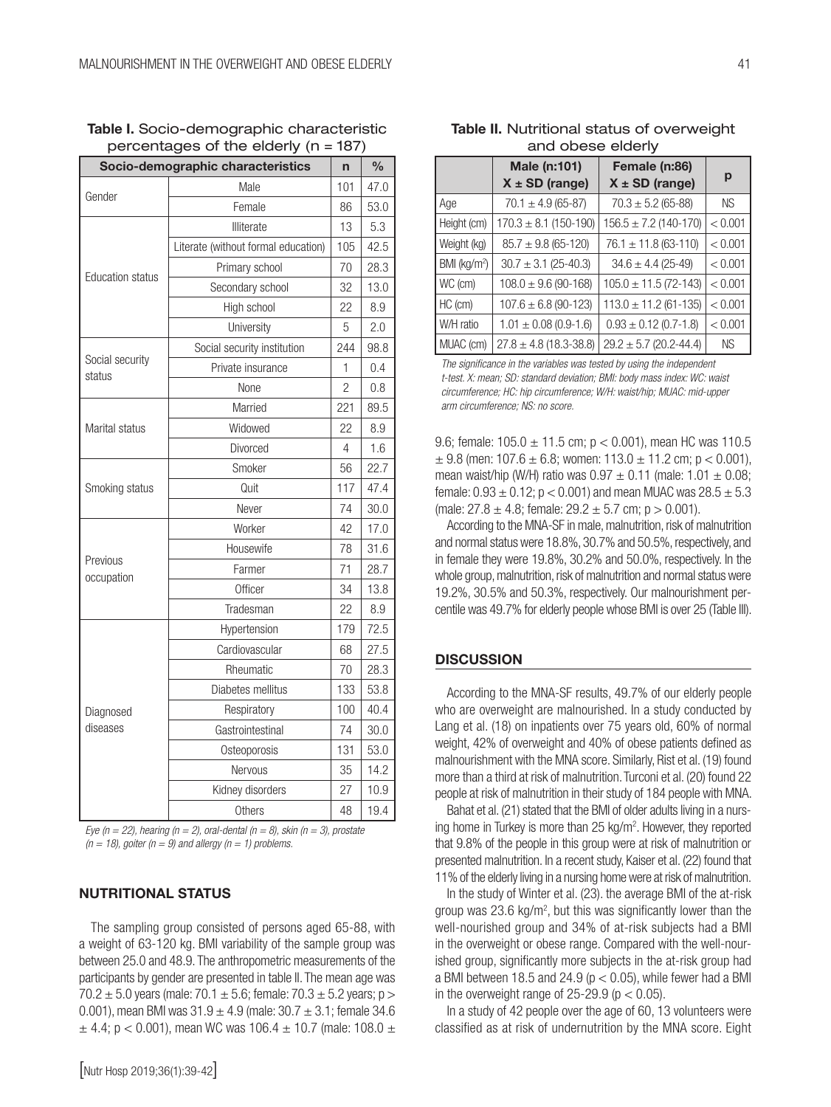| Socio-demographic characteristics | n                                   | $\frac{0}{0}$ |      |
|-----------------------------------|-------------------------------------|---------------|------|
|                                   | Male                                | 101           | 47.0 |
| Gender                            | Female                              | 86            | 53.0 |
|                                   | Illiterate                          | 13            | 5.3  |
|                                   | Literate (without formal education) | 105           | 42.5 |
| <b>Education status</b>           | Primary school                      |               | 28.3 |
|                                   | Secondary school                    |               | 13.0 |
|                                   | High school                         | 22            | 8.9  |
|                                   | University                          | 5             | 2.0  |
|                                   | Social security institution         | 244           | 98.8 |
| Social security<br>status         | Private insurance                   | 1             | 0.4  |
|                                   | None                                |               | 0.8  |
|                                   | Married                             | 221           | 89.5 |
| Marital status                    | Widowed                             | 22            | 8.9  |
|                                   | Divorced                            | 4             | 1.6  |
|                                   | Smoker                              | 56            | 22.7 |
| Smoking status                    | Quit                                | 117           | 47.4 |
|                                   | Never                               | 74            | 30.0 |
|                                   | Worker                              | 42            | 17.0 |
|                                   | Housewife                           | 78            | 31.6 |
| Previous<br>occupation            | Farmer                              | 71            | 28.7 |
|                                   | Officer                             | 34            | 13.8 |
|                                   | Tradesman                           | 22            | 8.9  |
|                                   | Hypertension                        | 179           | 72.5 |
|                                   | Cardiovascular                      | 68            | 27.5 |
|                                   | Rheumatic                           | 70            | 28.3 |
|                                   | Diabetes mellitus                   | 133           | 53.8 |
| Diagnosed                         | Respiratory                         | 100           | 40.4 |
| diseases                          | Gastrointestinal                    | 74            | 30.0 |
|                                   | Osteoporosis                        | 131           | 53.0 |
|                                   | Nervous                             | 35            | 14.2 |
|                                   | Kidney disorders                    | 27            | 10.9 |
|                                   | Others                              | 48            | 19.4 |

Table I. Socio-demographic characteristic percentages of the elderly (n = 187)

*Eye (n = 22), hearing (n = 2), oral-dental (n = 8), skin (n = 3), prostate*   $(n = 18)$ , goiter  $(n = 9)$  and allergy  $(n = 1)$  problems.

# NUTRITIONAL STATUS

The sampling group consisted of persons aged 65-88, with a weight of 63-120 kg. BMI variability of the sample group was between 25.0 and 48.9. The anthropometric measurements of the participants by gender are presented in table II. The mean age was 70.2  $\pm$  5.0 years (male: 70.1  $\pm$  5.6; female: 70.3  $\pm$  5.2 years; p > 0.001), mean BMI was  $31.9 \pm 4.9$  (male:  $30.7 \pm 3.1$ ; female 34.6  $\pm$  4.4; p < 0.001), mean WC was 106.4  $\pm$  10.7 (male: 108.0  $\pm$  41

| <u>and obooo oldon,</u>            |                            |                                     |           |  |  |  |  |
|------------------------------------|----------------------------|-------------------------------------|-----------|--|--|--|--|
| Male (n:101)<br>$X \pm SD$ (range) |                            | Female (n:86)<br>$X \pm SD$ (range) | р         |  |  |  |  |
| Age                                | $70.1 \pm 4.9$ (65-87)     | $70.3 \pm 5.2$ (65-88)              | <b>NS</b> |  |  |  |  |
| Height (cm)                        | $170.3 \pm 8.1$ (150-190)  | $156.5 \pm 7.2$ (140-170)           | < 0.001   |  |  |  |  |
| Weight (kg)                        | $85.7 \pm 9.8$ (65-120)    | $76.1 \pm 11.8$ (63-110)            | < 0.001   |  |  |  |  |
| BMI (kg/m <sup>2</sup> )           | $30.7 \pm 3.1$ (25-40.3)   | $34.6 \pm 4.4$ (25-49)              | < 0.001   |  |  |  |  |
| WC (cm)                            | $108.0 \pm 9.6$ (90-168)   | $105.0 \pm 11.5(72-143)$            | < 0.001   |  |  |  |  |
| $HC$ ( $cm$ )                      | $107.6 \pm 6.8$ (90-123)   | $113.0 \pm 11.2$ (61-135)           | < 0.001   |  |  |  |  |
| W/H ratio                          | $1.01 \pm 0.08$ (0.9-1.6)  | $0.93 \pm 0.12$ (0.7-1.8)           | < 0.001   |  |  |  |  |
| MUAC (cm)                          | $27.8 \pm 4.8$ (18.3-38.8) | $29.2 \pm 5.7$ (20.2-44.4)          | <b>NS</b> |  |  |  |  |

Table II. Nutritional status of overweight and obese elderly

*The significance in the variables was tested by using the independent t-test. X: mean; SD: standard deviation; BMI: body mass index: WC: waist circumference; HC: hip circumference; W/H: waist/hip; MUAC: mid-upper arm circumference; NS: no score.*

9.6; female:  $105.0 \pm 11.5$  cm;  $p < 0.001$ ), mean HC was 110.5  $\pm$  9.8 (men: 107.6  $\pm$  6.8; women: 113.0  $\pm$  11.2 cm; p < 0.001). mean waist/hip (W/H) ratio was  $0.97 \pm 0.11$  (male:  $1.01 \pm 0.08$ ) female:  $0.93 \pm 0.12$ ;  $p < 0.001$ ) and mean MUAC was  $28.5 \pm 5.3$ (male:  $27.8 \pm 4.8$ ; female:  $29.2 \pm 5.7$  cm;  $p > 0.001$ ).

According to the MNA-SF in male, malnutrition, risk of malnutrition and normal status were 18.8%, 30.7% and 50.5%, respectively, and in female they were 19.8%, 30.2% and 50.0%, respectively. In the whole group, malnutrition, risk of malnutrition and normal status were 19.2%, 30.5% and 50.3%, respectively. Our malnourishment percentile was 49.7% for elderly people whose BMI is over 25 (Table III).

#### **DISCUSSION**

According to the MNA-SF results, 49.7% of our elderly people who are overweight are malnourished. In a study conducted by Lang et al. (18) on inpatients over 75 years old, 60% of normal weight, 42% of overweight and 40% of obese patients defined as malnourishment with the MNA score. Similarly, Rist et al. (19) found more than a third at risk of malnutrition. Turconi et al. (20) found 22 people at risk of malnutrition in their study of 184 people with MNA.

Bahat et al. (21) stated that the BMI of older adults living in a nursing home in Turkey is more than 25 kg/m<sup>2</sup>. However, they reported that 9.8% of the people in this group were at risk of malnutrition or presented malnutrition. In a recent study, Kaiser et al. (22) found that 11% of the elderly living in a nursing home were at risk of malnutrition.

In the study of Winter et al. (23). the average BMI of the at-risk group was  $23.6 \text{ kg/m}^2$ , but this was significantly lower than the well-nourished group and 34% of at-risk subjects had a BMI in the overweight or obese range. Compared with the well-nourished group, significantly more subjects in the at-risk group had a BMI between 18.5 and 24.9 ( $p < 0.05$ ), while fewer had a BMI in the overweight range of  $25-29.9$  ( $p < 0.05$ ).

In a study of 42 people over the age of 60, 13 volunteers were classified as at risk of undernutrition by the MNA score. Eight